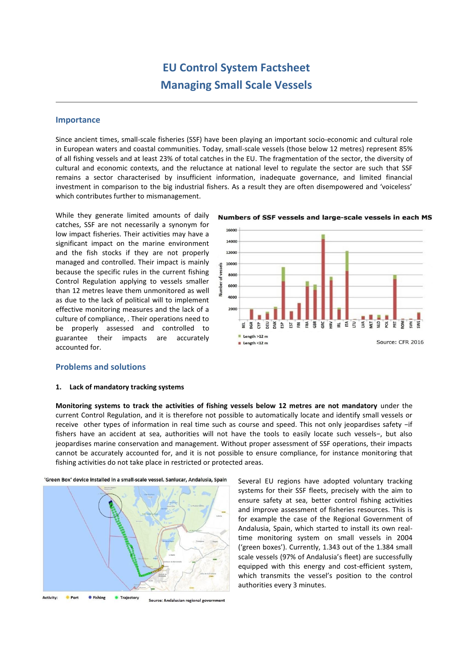# **EU Control System Factsheet Managing Small Scale Vessels**

## **Importance**

Since ancient times, small-scale fisheries (SSF) have been playing an important socio-economic and cultural role in European waters and coastal communities. Today, small-scale vessels (those below 12 metres) represent 85% of all fishing vessels and at least 23% of total catches in the EU. The fragmentation of the sector, the diversity of cultural and economic contexts, and the reluctance at national level to regulate the sector are such that SSF remains a sector characterised by insufficient information, inadequate governance, and limited financial investment in comparison to the big industrial fishers. As a result they are often disempowered and 'voiceless' which contributes further to mismanagement.

While they generate limited amounts of daily catches, SSF are not necessarily a synonym for low impact fisheries. Their activities may have a significant impact on the marine environment and the fish stocks if they are not properly managed and controlled. Their impact is mainly because the specific rules in the current fishing Control Regulation applying to vessels smaller than 12 metres leave them unmonitored as well as due to the lack of political will to implement effective monitoring measures and the lack of a culture of compliance, . Their operations need to be properly assessed and controlled to guarantee their impacts are accurately accounted for.

### Numbers of SSF vessels and large-scale vessels in each MS



## **Problems and solutions**

#### **1. Lack of mandatory tracking systems**

**Monitoring systems to track the activities of fishing vessels below 12 metres are not mandatory** under the current Control Regulation, and it is therefore not possible to automatically locate and identify small vessels or receive other types of information in real time such as course and speed. This not only jeopardises safety −if fishers have an accident at sea, authorities will not have the tools to easily locate such vessels−, but also jeopardises marine conservation and management. Without proper assessment of SSF operations, their impacts cannot be accurately accounted for, and it is not possible to ensure compliance, for instance monitoring that fishing activities do not take place in restricted or protected areas.



'Green Box' device installed in a small-scale vessel. Sanlucar, Andalusia, Spain

Several EU regions have adopted voluntary tracking systems for their SSF fleets, precisely with the aim to ensure safety at sea, better control fishing activities and improve assessment of fisheries resources. This is for example the case of the Regional Government of Andalusia, Spain, which started to install its own realtime monitoring system on small vessels in 2004 ('green boxes'). Currently, 1.343 out of the 1.384 small scale vessels (97% of Andalusia's fleet) are successfully equipped with this energy and cost-efficient system, which transmits the vessel's position to the control authorities every 3 minutes.

Activity: **C** Trajectory Source: Andalusian regional government